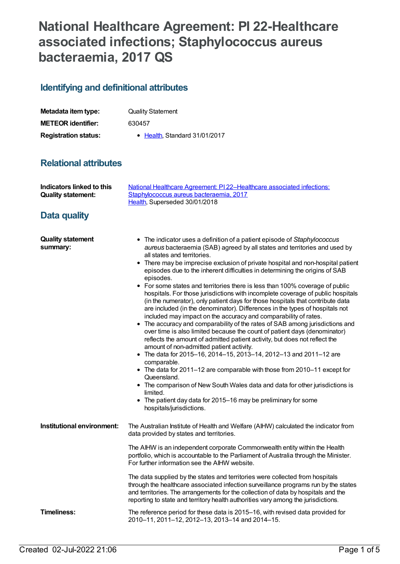## **National Healthcare Agreement: PI 22-Healthcare associated infections; Staphylococcus aureus bacteraemia, 2017 QS**

## **Identifying and definitional attributes**

| Metadata item type:         | <b>Quality Statement</b>      |
|-----------------------------|-------------------------------|
| <b>METEOR identifier:</b>   | 630457                        |
| <b>Registration status:</b> | • Health, Standard 31/01/2017 |

## **Relational attributes**

| Indicators linked to this<br><b>Quality statement:</b> | National Healthcare Agreement: PI 22-Healthcare associated infections:<br>Staphylococcus aureus bacteraemia, 2017<br>Health, Superseded 30/01/2018                                                                                                                                                                                                                                                                                                                                                                                                                                                                                                                                                                                                                                                                                                                                                                                                                                                                                                                                                                                                                                                                                                                                                                                                                                                                                           |
|--------------------------------------------------------|----------------------------------------------------------------------------------------------------------------------------------------------------------------------------------------------------------------------------------------------------------------------------------------------------------------------------------------------------------------------------------------------------------------------------------------------------------------------------------------------------------------------------------------------------------------------------------------------------------------------------------------------------------------------------------------------------------------------------------------------------------------------------------------------------------------------------------------------------------------------------------------------------------------------------------------------------------------------------------------------------------------------------------------------------------------------------------------------------------------------------------------------------------------------------------------------------------------------------------------------------------------------------------------------------------------------------------------------------------------------------------------------------------------------------------------------|
| Data quality                                           |                                                                                                                                                                                                                                                                                                                                                                                                                                                                                                                                                                                                                                                                                                                                                                                                                                                                                                                                                                                                                                                                                                                                                                                                                                                                                                                                                                                                                                              |
| <b>Quality statement</b><br>summary:                   | • The indicator uses a definition of a patient episode of Staphylococcus<br>aureus bacteraemia (SAB) agreed by all states and territories and used by<br>all states and territories.<br>There may be imprecise exclusion of private hospital and non-hospital patient<br>٠<br>episodes due to the inherent difficulties in determining the origins of SAB<br>episodes.<br>• For some states and territories there is less than 100% coverage of public<br>hospitals. For those jurisdictions with incomplete coverage of public hospitals<br>(in the numerator), only patient days for those hospitals that contribute data<br>are included (in the denominator). Differences in the types of hospitals not<br>included may impact on the accuracy and comparability of rates.<br>The accuracy and comparability of the rates of SAB among jurisdictions and<br>over time is also limited because the count of patient days (denominator)<br>reflects the amount of admitted patient activity, but does not reflect the<br>amount of non-admitted patient activity.<br>• The data for 2015-16, 2014-15, 2013-14, 2012-13 and 2011-12 are<br>comparable.<br>• The data for 2011-12 are comparable with those from 2010-11 except for<br>Queensland.<br>• The comparison of New South Wales data and data for other jurisdictions is<br>limited.<br>• The patient day data for 2015–16 may be preliminary for some<br>hospitals/jurisdictions. |
| Institutional environment:                             | The Australian Institute of Health and Welfare (AIHW) calculated the indicator from<br>data provided by states and territories.                                                                                                                                                                                                                                                                                                                                                                                                                                                                                                                                                                                                                                                                                                                                                                                                                                                                                                                                                                                                                                                                                                                                                                                                                                                                                                              |
|                                                        | The AIHW is an independent corporate Commonwealth entity within the Health<br>portfolio, which is accountable to the Parliament of Australia through the Minister.<br>For further information see the AIHW website.                                                                                                                                                                                                                                                                                                                                                                                                                                                                                                                                                                                                                                                                                                                                                                                                                                                                                                                                                                                                                                                                                                                                                                                                                          |
|                                                        | The data supplied by the states and territories were collected from hospitals<br>through the healthcare associated infection surveillance programs run by the states<br>and territories. The arrangements for the collection of data by hospitals and the<br>reporting to state and territory health authorities vary among the jurisdictions.                                                                                                                                                                                                                                                                                                                                                                                                                                                                                                                                                                                                                                                                                                                                                                                                                                                                                                                                                                                                                                                                                               |
| Timeliness:                                            | The reference period for these data is 2015–16, with revised data provided for<br>2010-11, 2011-12, 2012-13, 2013-14 and 2014-15.                                                                                                                                                                                                                                                                                                                                                                                                                                                                                                                                                                                                                                                                                                                                                                                                                                                                                                                                                                                                                                                                                                                                                                                                                                                                                                            |
|                                                        |                                                                                                                                                                                                                                                                                                                                                                                                                                                                                                                                                                                                                                                                                                                                                                                                                                                                                                                                                                                                                                                                                                                                                                                                                                                                                                                                                                                                                                              |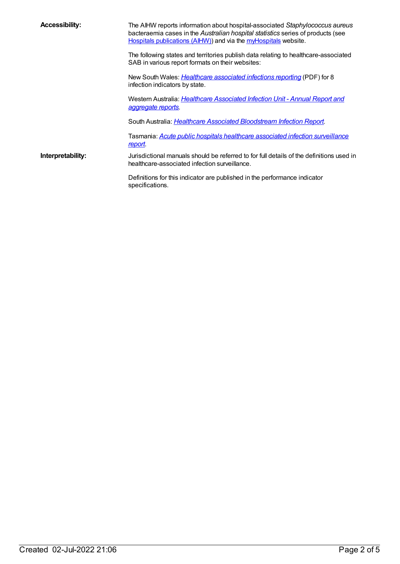| <b>Accessibility:</b> | The AIHW reports information about hospital-associated Staphylococcus aureus<br>bacteraemia cases in the Australian hospital statistics series of products (see<br>Hospitals publications (AIHW)) and via the myHospitals website. |
|-----------------------|------------------------------------------------------------------------------------------------------------------------------------------------------------------------------------------------------------------------------------|
|                       | The following states and territories publish data relating to healthcare-associated<br>SAB in various report formats on their websites:                                                                                            |
|                       | New South Wales: <i>Healthcare associated infections reporting</i> (PDF) for 8<br>infection indicators by state.                                                                                                                   |
|                       | Western Australia: <i>Healthcare Associated Infection Unit - Annual Report and</i><br>aggregate reports.                                                                                                                           |
|                       | South Australia: <i>Healthcare Associated Bloodstream Infection Report.</i>                                                                                                                                                        |
|                       | Tasmania: Acute public hospitals healthcare associated infection surveillance<br><u>report</u>                                                                                                                                     |
| Interpretability:     | Jurisdictional manuals should be referred to for full details of the definitions used in<br>healthcare-associated infection surveillance.                                                                                          |
|                       | Definitions for this indicator are published in the performance indicator<br>specifications.                                                                                                                                       |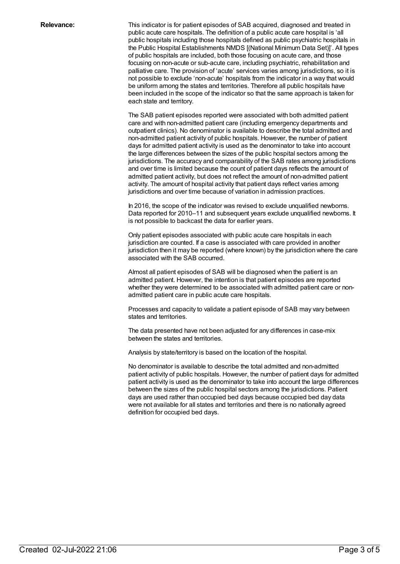**Relevance:** This indicator is for patient episodes of SAB acquired, diagnosed and treated in public acute care hospitals. The definition of a public acute care hospital is 'all public hospitals including those hospitals defined as public psychiatric hospitals in the Public Hospital Establishments NMDS [(National Minimum Data Set)]'. All types of public hospitals are included, both those focusing on acute care, and those focusing on non-acute or sub-acute care, including psychiatric, rehabilitation and palliative care. The provision of 'acute' services varies among jurisdictions, so it is not possible to exclude 'non-acute' hospitals from the indicator in a way that would be uniform among the states and territories. Therefore all public hospitals have been included in the scope of the indicator so that the same approach is taken for each state and territory.

> The SAB patient episodes reported were associated with both admitted patient care and with non-admitted patient care (including emergency departments and outpatient clinics). No denominator is available to describe the total admitted and non-admitted patient activity of public hospitals. However, the number of patient days for admitted patient activity is used as the denominator to take into account the large differences between the sizes of the public hospital sectors among the jurisdictions. The accuracy and comparability of the SAB rates among jurisdictions and over time is limited because the count of patient days reflects the amount of admitted patient activity, but does not reflect the amount of non-admitted patient activity. The amount of hospital activity that patient days reflect varies among jurisdictions and over time because of variation in admission practices.

> In 2016, the scope of the indicator was revised to exclude unqualified newborns. Data reported for 2010–11 and subsequent years exclude unqualified newborns. It is not possible to backcast the data for earlier years.

> Only patient episodes associated with public acute care hospitals in each jurisdiction are counted. If a case is associated with care provided in another jurisdiction then it may be reported (where known) by the jurisdiction where the care associated with the SAB occurred.

Almost all patient episodes of SAB will be diagnosed when the patient is an admitted patient. However, the intention is that patient episodes are reported whether they were determined to be associated with admitted patient care or nonadmitted patient care in public acute care hospitals.

Processes and capacity to validate a patient episode of SAB may vary between states and territories.

The data presented have not been adjusted for any differences in case-mix between the states and territories.

Analysis by state/territory is based on the location of the hospital.

No denominator is available to describe the total admitted and non-admitted patient activity of public hospitals. However, the number of patient days for admitted patient activity is used as the denominator to take into account the large differences between the sizes of the public hospital sectors among the jurisdictions. Patient days are used rather than occupied bed days because occupied bed day data were not available for all states and territories and there is no nationally agreed definition for occupied bed days.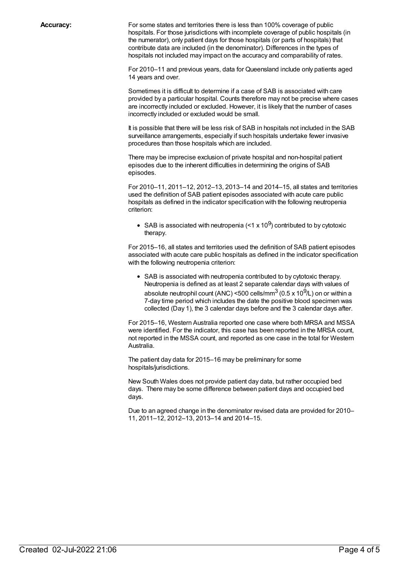**Accuracy:** For some states and territories there is less than 100% coverage of public hospitals. For those jurisdictions with incomplete coverage of public hospitals (in the numerator), only patient days for those hospitals (or parts of hospitals) that contribute data are included (in the denominator). Differences in the types of hospitals not included may impact on the accuracy and comparability of rates.

> For 2010–11 and previous years, data for Queensland include only patients aged 14 years and over.

Sometimes it is difficult to determine if a case of SAB is associated with care provided by a particular hospital. Counts therefore may not be precise where cases are incorrectly included or excluded. However, it is likely that the number of cases incorrectly included or excluded would be small.

It is possible that there will be less risk of SAB in hospitals not included in the SAB surveillance arrangements, especially if such hospitals undertake fewer invasive procedures than those hospitals which are included.

There may be imprecise exclusion of private hospital and non-hospital patient episodes due to the inherent difficulties in determining the origins of SAB episodes.

For 2010–11, 2011–12, 2012–13, 2013–14 and 2014–15, all states and territories used the definition of SAB patient episodes associated with acute care public hospitals as defined in the indicator specification with the following neutropenia criterion:

SAB is associated with neutropenia (<1 x 10 $^{9}$ ) contributed to by cytotoxic therapy.

For 2015–16, all states and territories used the definition of SAB patient episodes associated with acute care public hospitals as defined in the indicator specification with the following neutropenia criterion:

SAB is associated with neutropenia contributed to by cytotoxic therapy. Neutropenia is defined as at least 2 separate calendar days with values of absolute neutrophil count (ANC) <500 cells/mm $^3$  (0.5 x 10 $^9$ /L) on or within a 7-day time period which includes the date the positive blood specimen was collected (Day 1), the 3 calendar days before and the 3 calendar days after.

For 2015–16, Western Australia reported one case where both MRSA and MSSA were identified. For the indicator, this case has been reported in the MRSA count, not reported in the MSSA count, and reported as one case in the total for Western Australia.

The patient day data for 2015–16 may be preliminary for some hospitals/jurisdictions.

New South Wales does not provide patient day data, but rather occupied bed days. There may be some difference between patient days and occupied bed days.

Due to an agreed change in the denominator revised data are provided for 2010– 11, 2011–12, 2012–13, 2013–14 and 2014–15.